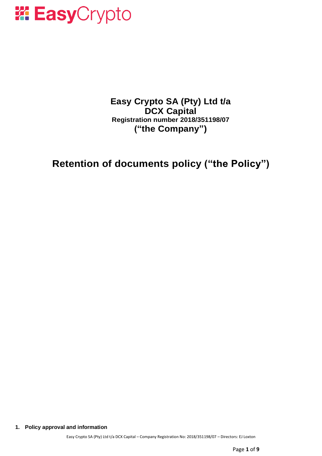

**Easy Crypto SA (Pty) Ltd t/a DCX Capital Registration number 2018/351198/07 ("the Company")**

**Retention of documents policy ("the Policy")**

**1. Policy approval and information**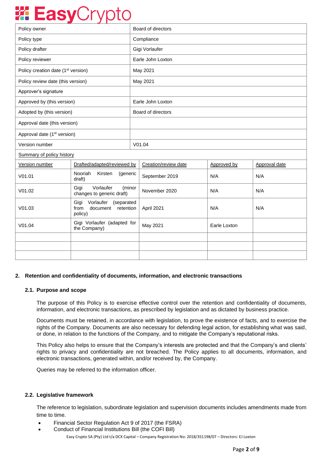# *W***: Easy**Crypto

| Policy owner                                   |                                                                             | Board of directors |                      |              |               |
|------------------------------------------------|-----------------------------------------------------------------------------|--------------------|----------------------|--------------|---------------|
| Policy type                                    |                                                                             | Compliance         |                      |              |               |
| Policy drafter                                 |                                                                             | Gigi Vorlaufer     |                      |              |               |
| Policy reviewer                                |                                                                             | Earle John Loxton  |                      |              |               |
| Policy creation date (1 <sup>st</sup> version) |                                                                             | May 2021           |                      |              |               |
| Policy review date (this version)              |                                                                             | May 2021           |                      |              |               |
| Approver's signature                           |                                                                             |                    |                      |              |               |
| Approved by (this version)                     |                                                                             | Earle John Loxton  |                      |              |               |
| Adopted by (this version)                      |                                                                             | Board of directors |                      |              |               |
| Approval date (this version)                   |                                                                             |                    |                      |              |               |
| Approval date (1 <sup>st</sup> version)        |                                                                             |                    |                      |              |               |
| Version number                                 |                                                                             | V01.04             |                      |              |               |
| Summary of policy history                      |                                                                             |                    |                      |              |               |
| Version number                                 | Drafted/adapted/reviewed by                                                 |                    | Creation/review date | Approved by  | Approval date |
| V01.01                                         | Nooriah<br>Kirsten<br>(generic<br>draft)                                    |                    | September 2019       | N/A          | N/A           |
| V01.02                                         | Vorlaufer<br>Gigi<br>(minor<br>changes to generic draft)                    |                    | November 2020        | N/A          | N/A           |
| V01.03                                         | Vorlaufer<br>Gigi<br>(separated<br>from<br>document<br>retention<br>policy) |                    | April 2021           | N/A          | N/A           |
| V01.04                                         | Gigi Vorlaufer (adapted for<br>the Company)                                 |                    | May 2021             | Earle Loxton |               |
|                                                |                                                                             |                    |                      |              |               |
|                                                |                                                                             |                    |                      |              |               |
|                                                |                                                                             |                    |                      |              |               |

## **2. Retention and confidentiality of documents, information, and electronic transactions**

## **2.1. Purpose and scope**

The purpose of this Policy is to exercise effective control over the retention and confidentiality of documents, information, and electronic transactions, as prescribed by legislation and as dictated by business practice.

Documents must be retained, in accordance with legislation, to prove the existence of facts, and to exercise the rights of the Company. Documents are also necessary for defending legal action, for establishing what was said, or done, in relation to the functions of the Company, and to mitigate the Company's reputational risks.

This Policy also helps to ensure that the Company's interests are protected and that the Company's and clients' rights to privacy and confidentiality are not breached. The Policy applies to all documents, information, and electronic transactions, generated within, and/or received by, the Company.

Queries may be referred to the information officer.

## **2.2. Legislative framework**

The reference to legislation, subordinate legislation and supervision documents includes amendments made from time to time.

- Financial Sector Regulation Act 9 of 2017 (the FSRA)
- Easy Crypto SA (Pty) Ltd t/a DCX Capital Company Registration No: 2018/351198/07 Directors: EJ Loxton • Conduct of Financial Institutions Bill (the COFI Bill)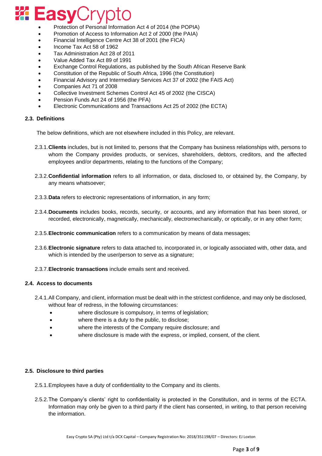# *W.* EasyCrypto

- Protection of Personal Information Act 4 of 2014 (the POPIA)
- Promotion of Access to Information Act 2 of 2000 (the PAIA)
- Financial Intelligence Centre Act 38 of 2001 (the FICA)
- Income Tax Act 58 of 1962
- Tax Administration Act 28 of 2011
- Value Added Tax Act 89 of 1991
- Exchange Control Regulations, as published by the South African Reserve Bank
- Constitution of the Republic of South Africa, 1996 (the Constitution)
- Financial Advisory and Intermediary Services Act 37 of 2002 (the FAIS Act)
- Companies Act 71 of 2008
- Collective Investment Schemes Control Act 45 of 2002 (the CISCA)
- Pension Funds Act 24 of 1956 (the PFA)
- Electronic Communications and Transactions Act 25 of 2002 (the ECTA)

## **2.3. Definitions**

The below definitions, which are not elsewhere included in this Policy, are relevant.

- 2.3.1.**Clients** includes, but is not limited to, persons that the Company has business relationships with, persons to whom the Company provides products, or services, shareholders, debtors, creditors, and the affected employees and/or departments, relating to the functions of the Company;
- 2.3.2.**Confidential information** refers to all information, or data, disclosed to, or obtained by, the Company, by any means whatsoever;
- 2.3.3.**Data** refers to electronic representations of information, in any form;
- 2.3.4.**Documents** includes books, records, security, or accounts, and any information that has been stored, or recorded, electronically, magnetically, mechanically, electromechanically, or optically, or in any other form;
- 2.3.5.**Electronic communication** refers to a communication by means of data messages;
- 2.3.6.**Electronic signature** refers to data attached to, incorporated in, or logically associated with, other data, and which is intended by the user/person to serve as a signature;
- 2.3.7.**Electronic transactions** include emails sent and received.

## **2.4. Access to documents**

- 2.4.1.All Company, and client, information must be dealt with in the strictest confidence, and may only be disclosed, without fear of redress, in the following circumstances:
	- where disclosure is compulsory, in terms of legislation;
	- where there is a duty to the public, to disclose;
	- where the interests of the Company require disclosure; and
	- where disclosure is made with the express, or implied, consent, of the client.

## **2.5. Disclosure to third parties**

2.5.1.Employees have a duty of confidentiality to the Company and its clients.

2.5.2.The Company's clients' right to confidentiality is protected in the Constitution, and in terms of the ECTA. Information may only be given to a third party if the client has consented, in writing, to that person receiving the information.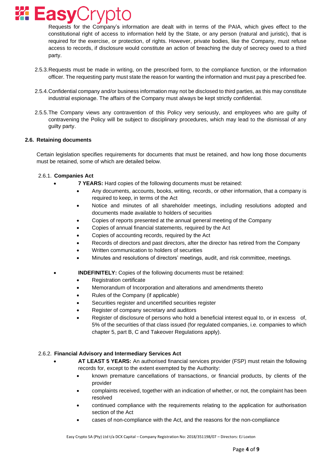

Requests for the Company's information are dealt with in terms of the PAIA, which gives effect to the constitutional right of access to information held by the State, or any person (natural and juristic), that is required for the exercise, or protection, of rights. However, private bodies, like the Company, must refuse access to records, if disclosure would constitute an action of breaching the duty of secrecy owed to a third party.

- 2.5.3.Requests must be made in writing, on the prescribed form, to the compliance function, or the information officer. The requesting party must state the reason for wanting the information and must pay a prescribed fee.
- 2.5.4.Confidential company and/or business information may not be disclosed to third parties, as this may constitute industrial espionage. The affairs of the Company must always be kept strictly confidential.
- 2.5.5.The Company views any contravention of this Policy very seriously, and employees who are guilty of contravening the Policy will be subject to disciplinary procedures, which may lead to the dismissal of any guilty party.

## **2.6. Retaining documents**

Certain legislation specifies requirements for documents that must be retained, and how long those documents must be retained, some of which are detailed below.

#### 2.6.1. **Companies Act**

- **7 YEARS:** Hard copies of the following documents must be retained:
	- Any documents, accounts, books, writing, records, or other information, that a company is required to keep, in terms of the Act
	- Notice and minutes of all shareholder meetings, including resolutions adopted and documents made available to holders of securities
	- Copies of reports presented at the annual general meeting of the Company
	- Copies of annual financial statements, required by the Act
	- Copies of accounting records, required by the Act
	- Records of directors and past directors, after the director has retired from the Company
	- Written communication to holders of securities
	- Minutes and resolutions of directors' meetings, audit, and risk committee, meetings.
- **INDEFINITELY:** Copies of the following documents must be retained:
	- Registration certificate
	- Memorandum of Incorporation and alterations and amendments thereto
	- Rules of the Company (if applicable)
	- Securities register and uncertified securities register
	- Register of company secretary and auditors
	- Register of disclosure of persons who hold a beneficial interest equal to, or in excess of, 5% of the securities of that class issued (for regulated companies, i.e. companies to which chapter 5, part B, C and Takeover Regulations apply).

## 2.6.2. **Financial Advisory and Intermediary Services Act**

- **AT LEAST 5 YEARS:** An authorised financial services provider (FSP) must retain the following records for, except to the extent exempted by the Authority:
	- known premature cancellations of transactions, or financial products, by clients of the provider
	- complaints received, together with an indication of whether, or not, the complaint has been resolved
	- continued compliance with the requirements relating to the application for authorisation section of the Act
	- cases of non-compliance with the Act, and the reasons for the non-compliance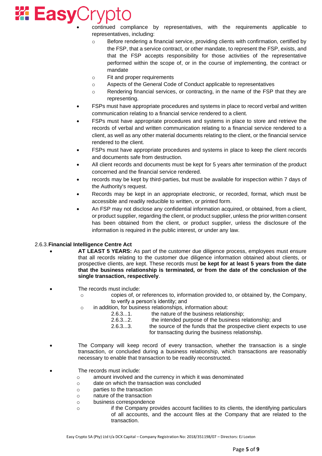# *EasyCryp*

• continued compliance by representatives, with the requirements applicable to representatives, including:

- o Before rendering a financial service, providing clients with confirmation, certified by the FSP, that a service contract, or other mandate, to represent the FSP, exists, and that the FSP accepts responsibility for those activities of the representative performed within the scope of, or in the course of implementing, the contract or mandate
- o Fit and proper requirements
- o Aspects of the General Code of Conduct applicable to representatives
- o Rendering financial services, or contracting, in the name of the FSP that they are representing.
- FSPs must have appropriate procedures and systems in place to record verbal and written communication relating to a financial service rendered to a client.
- FSPs must have appropriate procedures and systems in place to store and retrieve the records of verbal and written communication relating to a financial service rendered to a client, as well as any other material documents relating to the client, or the financial service rendered to the client.
- FSPs must have appropriate procedures and systems in place to keep the client records and documents safe from destruction.
- All client records and documents must be kept for 5 years after termination of the product concerned and the financial service rendered.
- records may be kept by third-parties, but must be available for inspection within 7 days of the Authority's request.
- Records may be kept in an appropriate electronic, or recorded, format, which must be accessible and readily reducible to written, or printed form.
- An FSP may not disclose any confidential information acquired, or obtained, from a client, or product supplier, regarding the client, or product supplier, unless the prior written consent has been obtained from the client, or product supplier, unless the disclosure of the information is required in the public interest, or under any law.

## 2.6.3.**Financial Intelligence Centre Act**

- **AT LEAST 5 YEARS:** As part of the customer due diligence process, employees must ensure that all records relating to the customer due diligence information obtained about clients, or prospective clients, are kept. These records must **be kept for at least 5 years from the date that the business relationship is terminated, or from the date of the conclusion of the single transaction, respectively**.
- The records must include:
	- o copies of, or references to, information provided to, or obtained by, the Company, to verify a person's identity; and
	- o in addition, for business relationships, information about:
		- 2.6.3...1. the nature of the business relationship;
			- 2.6.3...2. the intended purpose of the business relationship; and
			- 2.6.3...3. the source of the funds that the prospective client expects to use for transacting during the business relationship.
- The Company will keep record of every transaction, whether the transaction is a single transaction, or concluded during a business relationship, which transactions are reasonably necessary to enable that transaction to be readily reconstructed.
- The records must include:
	- o amount involved and the currency in which it was denominated
	- o date on which the transaction was concluded
	- o parties to the transaction
	- o nature of the transaction
	- o business correspondence
	- o if the Company provides account facilities to its clients, the identifying particulars of all accounts, and the account files at the Company that are related to the transaction.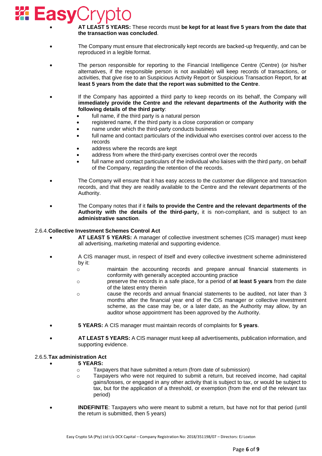# *EasyCryl*

• **AT LEAST 5 YEARS:** These records must **be kept for at least five 5 years from the date that the transaction was concluded**.

- The Company must ensure that electronically kept records are backed-up frequently, and can be reproduced in a legible format.
- The person responsible for reporting to the Financial Intelligence Centre (Centre) (or his/her alternatives, if the responsible person is not available) will keep records of transactions, or activities, that give rise to an Suspicious Activity Report or Suspicious Transaction Report, for **at least 5 years from the date that the report was submitted to the Centre**.
- If the Company has appointed a third party to keep records on its behalf, the Company will **immediately provide the Centre and the relevant departments of the Authority with the following details of the third party**:
	- full name, if the third party is a natural person
	- registered name, if the third party is a close corporation or company
	- hame under which the third-party conducts business
	- full name and contact particulars of the individual who exercises control over access to the records
	- address where the records are kept
	- address from where the third-party exercises control over the records
	- full name and contact particulars of the individual who liaises with the third party, on behalf of the Company, regarding the retention of the records.
- The Company will ensure that it has easy access to the customer due diligence and transaction records, and that they are readily available to the Centre and the relevant departments of the Authority.
- The Company notes that if it **fails to provide the Centre and the relevant departments of the Authority with the details of the third-party,** it is non-compliant, and is subject to an **administrative sanction**.

### 2.6.4.**Collective Investment Schemes Control Act**

- **AT LEAST 5 YEARS:** A manager of collective investment schemes (CIS manager) must keep all advertising, marketing material and supporting evidence.
- A CIS manager must, in respect of itself and every collective investment scheme administered by it:
	- o maintain the accounting records and prepare annual financial statements in conformity with generally accepted accounting practice
	- o preserve the records in a safe place, for a period of **at least 5 years** from the date of the latest entry therein
	- o cause the records and annual financial statements to be audited, not later than 3 months after the financial year end of the CIS manager or collective investment scheme, as the case may be, or a later date, as the Authority may allow, by an auditor whose appointment has been approved by the Authority.
- **5 YEARS:** A CIS manager must maintain records of complaints for **5 years**.
- **AT LEAST 5 YEARS:** A CIS manager must keep all advertisements, publication information, and supporting evidence.

#### 2.6.5.**Tax administration Act**

- **5 YEARS:**
	- o Taxpayers that have submitted a return (from date of submission)
	- o Taxpayers who were not required to submit a return, but received income, had capital gains/losses, or engaged in any other activity that is subject to tax, or would be subject to tax, but for the application of a threshold, or exemption (from the end of the relevant tax period)
- **INDEFINITE**: Taxpayers who were meant to submit a return, but have not for that period (until the return is submitted, then 5 years)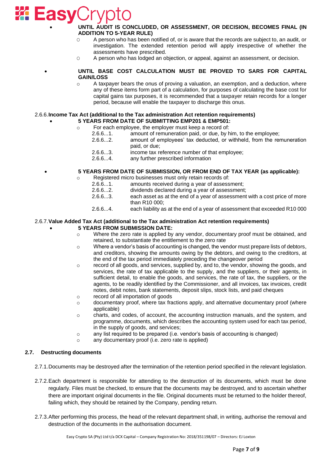

## • **UNTIL AUDIT IS CONCLUDED, OR ASSESSMENT, OR DECISION, BECOMES FINAL (IN ADDITION TO 5-YEAR RULE)**

- $\circ$  A person who has been notified of, or is aware that the records are subject to, an audit, or investigation. The extended retention period will apply irrespective of whether the assessments have prescribed.
- O A person who has lodged an objection, or appeal, against an assessment, or decision.

### • **UNTIL BASE COST CALCULATION MUST BE PROVED TO SARS FOR CAPITAL GAIN/LOSS**

A taxpayer bears the onus of proving a valuation, an exemption, and a deduction, where any of these items form part of a calculation, for purposes of calculating the base cost for capital gains tax purposes, it is recommended that a taxpayer retain records for a longer period, because will enable the taxpayer to discharge this onus.

#### 2.6.6.**Income Tax Act (additional to the Tax administration Act retention requirements)** • **5 YEARS FROM DATE OF SUBMITTING EMP201 & EMP501:**

- o For each employee, the employer must keep a record of:
	- 2.6.6...1. amount of remuneration paid, or due, by him, to the employee;
		- 2.6.6...2. amount of employees' tax deducted, or withheld, from the remuneration paid, or due;
		- 2.6.6...3. income tax reference number of that employee;
		- 2.6.6...4. any further prescribed information

## • **5 YEARS FROM DATE OF SUBMISSION, OR FROM END OF TAX YEAR (as applicable):**

- o Registered micro businesses must only retain records of:
	- 2.6.6...1. amounts received during a year of assessment;
		- 2.6.6...2. dividends declared during a year of assessment;
		- 2.6.6...3. each asset as at the end of a year of assessment with a cost price of more than R10 000;
		- 2.6.6...4. each liability as at the end of a year of assessment that exceeded R10 000

#### 2.6.7.**Value Added Tax Act (additional to the Tax administration Act retention requirements)** • **5 YEARS FROM SUBMISSION DATE:**

- $\circ$  Where the zero rate is applied by any vendor, documentary proof must be obtained, and retained, to substantiate the entitlement to the zero rate
- $\circ$  Where a vendor's basis of accounting is changed, the vendor must prepare lists of debtors, and creditors, showing the amounts owing by the debtors, and owing to the creditors, at the end of the tax period immediately preceding the changeover period
- o record of all goods, and services, supplied by, and to, the vendor, showing the goods, and services, the rate of tax applicable to the supply, and the suppliers, or their agents, in sufficient detail, to enable the goods, and services, the rate of tax, the suppliers, or the agents, to be readily identified by the Commissioner, and all invoices, tax invoices, credit notes, debit notes, bank statements, deposit slips, stock lists, and paid cheques
- o record of all importation of goods
- $\circ$  documentary proof, where tax fractions apply, and alternative documentary proof (where applicable)
- o charts, and codes, of account, the accounting instruction manuals, and the system, and programme, documents, which describes the accounting system used for each tax period, in the supply of goods, and services;
- o any list required to be prepared (i.e. vendor's basis of accounting is changed)
- o any documentary proof (i.e. zero rate is applied)

## **2.7. Destructing documents**

- 2.7.1.Documents may be destroyed after the termination of the retention period specified in the relevant legislation.
- 2.7.2.Each department is responsible for attending to the destruction of its documents, which must be done regularly. Files must be checked, to ensure that the documents may be destroyed, and to ascertain whether there are important original documents in the file. Original documents must be returned to the holder thereof, failing which, they should be retained by the Company, pending return.
- 2.7.3.After performing this process, the head of the relevant department shall, in writing, authorise the removal and destruction of the documents in the authorisation document.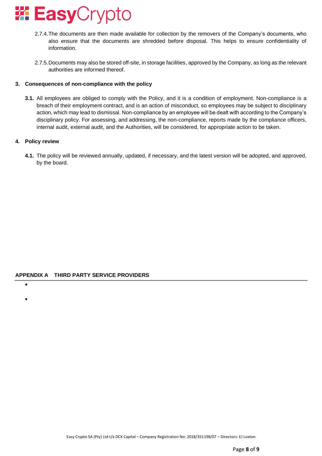

- 2.7.4.The documents are then made available for collection by the removers of the Company's documents, who also ensure that the documents are shredded before disposal. This helps to ensure confidentiality of information.
- 2.7.5.Documents may also be stored off-site, in storage facilities, approved by the Company, as long as the relevant authorities are informed thereof.

## **3. Consequences of non-compliance with the policy**

**3.1.** All employees are obliged to comply with the Policy, and it is a condition of employment. Non-compliance is a breach of their employment contract, and is an action of misconduct, so employees may be subject to disciplinary action, which may lead to dismissal. Non-compliance by an employee will be dealt with according to the Company's disciplinary policy. For assessing, and addressing, the non-compliance, reports made by the compliance officers, internal audit, external audit, and the Authorities, will be considered, for appropriate action to be taken.

## **4. Policy review**

**4.1.** The policy will be reviewed annually, updated, if necessary, and the latest version will be adopted, and approved, by the board.

## **APPENDIX A THIRD PARTY SERVICE PROVIDERS**

•

•